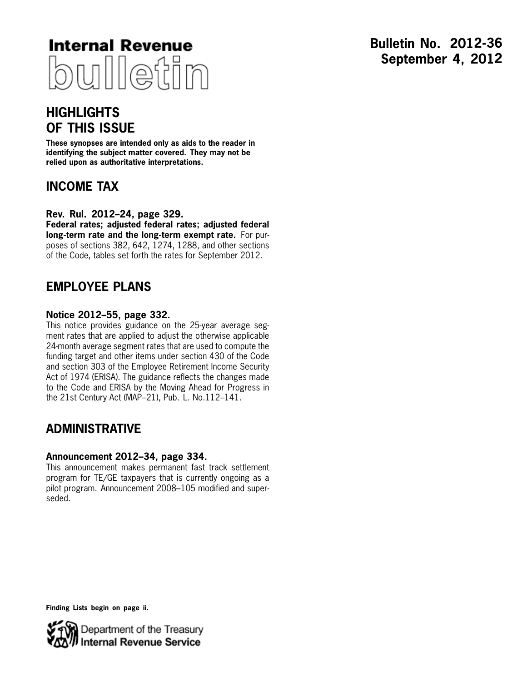

## **HIGHLIGHTS OF THIS ISSUE**

**These synopses are intended only as aids to the reader in identifying the subject matter covered. They may not be relied upon as authoritative interpretations.**

## **INCOME TAX**

**Rev. Rul. 2012–24, page [329.](#page-2-0)**

**Federal rates; adjusted federal rates; adjusted federal long-term rate and the long-term exempt rate.** For purposes of sections 382, 642, 1274, 1288, and other sections of the Code, tables set forth the rates for September 2012.

## **EMPLOYEE PLANS**

## **Notice 2012–55, page [332](#page-5-0).**

This notice provides guidance on the 25-year average segment rates that are applied to adjust the otherwise applicable 24-month average segment rates that are used to compute the funding target and other items under section 430 of the Code and section 303 of the Employee Retirement Income Security Act of 1974 (ERISA). The guidance reflects the changes made to the Code and ERISA by the Moving Ahead for Progress in the 21st Century Act (MAP–21), Pub. L. No.112–141.

## **ADMINISTRATIVE**

### **Announcement 2012–34, page [334](#page-7-0).**

This announcement makes permanent fast track settlement program for TE/GE taxpayers that is currently ongoing as a pilot program. Announcement 2008–105 modified and superseded.

**Finding Lists begin on page ii.**

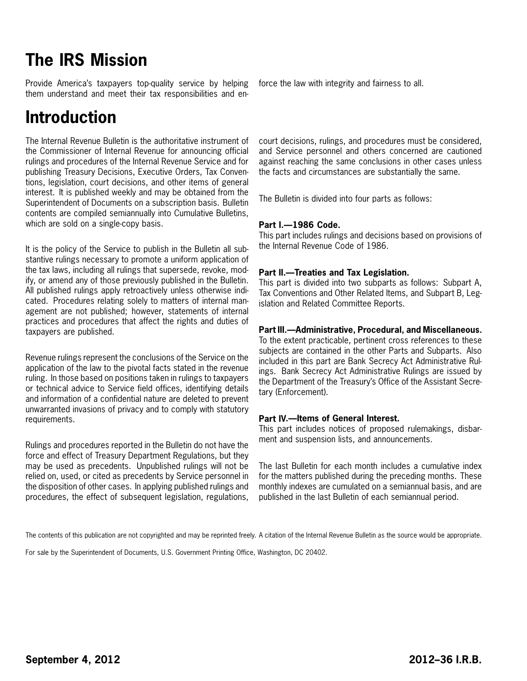# **The IRS Mission**

Provide America's taxpayers top-quality service by helping them understand and meet their tax responsibilities and en-

# **Introduction**

The Internal Revenue Bulletin is the authoritative instrument of the Commissioner of Internal Revenue for announcing official rulings and procedures of the Internal Revenue Service and for publishing Treasury Decisions, Executive Orders, Tax Conventions, legislation, court decisions, and other items of general interest. It is published weekly and may be obtained from the Superintendent of Documents on a subscription basis. Bulletin contents are compiled semiannually into Cumulative Bulletins, which are sold on a single-copy basis.

It is the policy of the Service to publish in the Bulletin all substantive rulings necessary to promote a uniform application of the tax laws, including all rulings that supersede, revoke, modify, or amend any of those previously published in the Bulletin. All published rulings apply retroactively unless otherwise indicated. Procedures relating solely to matters of internal management are not published; however, statements of internal practices and procedures that affect the rights and duties of taxpayers are published.

Revenue rulings represent the conclusions of the Service on the application of the law to the pivotal facts stated in the revenue ruling. In those based on positions taken in rulings to taxpayers or technical advice to Service field offices, identifying details and information of a confidential nature are deleted to prevent unwarranted invasions of privacy and to comply with statutory requirements.

Rulings and procedures reported in the Bulletin do not have the force and effect of Treasury Department Regulations, but they may be used as precedents. Unpublished rulings will not be relied on, used, or cited as precedents by Service personnel in the disposition of other cases. In applying published rulings and procedures, the effect of subsequent legislation, regulations,

force the law with integrity and fairness to all.

court decisions, rulings, and procedures must be considered, and Service personnel and others concerned are cautioned against reaching the same conclusions in other cases unless the facts and circumstances are substantially the same.

The Bulletin is divided into four parts as follows:

### **Part I.—1986 Code.**

This part includes rulings and decisions based on provisions of the Internal Revenue Code of 1986.

### **Part II.—Treaties and Tax Legislation.**

This part is divided into two subparts as follows: Subpart A, Tax Conventions and Other Related Items, and Subpart B, Legislation and Related Committee Reports.

### **Part III.—Administrative, Procedural, and Miscellaneous.**

To the extent practicable, pertinent cross references to these subjects are contained in the other Parts and Subparts. Also included in this part are Bank Secrecy Act Administrative Rulings. Bank Secrecy Act Administrative Rulings are issued by the Department of the Treasury's Office of the Assistant Secretary (Enforcement).

### **Part IV.—Items of General Interest.**

This part includes notices of proposed rulemakings, disbarment and suspension lists, and announcements.

The last Bulletin for each month includes a cumulative index for the matters published during the preceding months. These monthly indexes are cumulated on a semiannual basis, and are published in the last Bulletin of each semiannual period.

For sale by the Superintendent of Documents, U.S. Government Printing Office, Washington, DC 20402.

The contents of this publication are not copyrighted and may be reprinted freely. A citation of the Internal Revenue Bulletin as the source would be appropriate.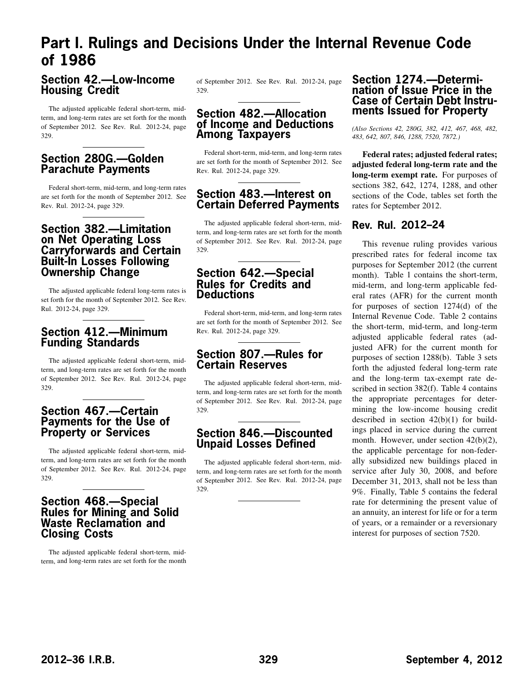## <span id="page-2-0"></span>**Part I. Rulings and Decisions Under the Internal Revenue Code of 1986**

## **Section 42.—Low-Income Housing Credit**

The adjusted applicable federal short-term, midterm, and long-term rates are set forth for the month of September 2012. See Rev. Rul. 2012-24, page 329.

## **Section 280G.—Golden Parachute Payments**

Federal short-term, mid-term, and long-term rates are set forth for the month of September 2012. See Rev. Rul. 2012-24, page 329.

### **Section 382.—Limitation on Net Operating Loss Carryforwards and Certain Built-In Losses Following Ownership Change**

The adjusted applicable federal long-term rates is set forth for the month of September 2012. See Rev. Rul. 2012-24, page 329.

## **Section 412.—Minimum Funding Standards**

The adjusted applicable federal short-term, midterm, and long-term rates are set forth for the month of September 2012. See Rev. Rul. 2012-24, page 329.

## **Section 467.—Certain Payments for the Use of Property or Services**

The adjusted applicable federal short-term, midterm, and long-term rates are set forth for the month of September 2012. See Rev. Rul. 2012-24, page 329.

## **Section 468.—Special Rules for Mining and Solid Waste Reclamation and Closing Costs**

The adjusted applicable federal short-term, midterm, and long-term rates are set forth for the month of September 2012. See Rev. Rul. 2012-24, page 329.

## **Section 482.—Allocation of Income and Deductions Among Taxpayers**

Federal short-term, mid-term, and long-term rates are set forth for the month of September 2012. See Rev. Rul. 2012-24, page 329.

### **Section 483.—Interest on Certain Deferred Payments**

The adjusted applicable federal short-term, midterm, and long-term rates are set forth for the month of September 2012. See Rev. Rul. 2012-24, page 329.

## **Section 642.—Special Rules for Credits and Deductions**

Federal short-term, mid-term, and long-term rates are set forth for the month of September 2012. See Rev. Rul. 2012-24, page 329.

### **Section 807.—Rules for Certain Reserves**

The adjusted applicable federal short-term, midterm, and long-term rates are set forth for the month of September 2012. See Rev. Rul. 2012-24, page 329.

## **Section 846.—Discounted Unpaid Losses Defined**

The adjusted applicable federal short-term, midterm, and long-term rates are set forth for the month of September 2012. See Rev. Rul. 2012-24, page 329.

### **Section 1274.—Determination of Issue Price in the Case of Certain Debt Instruments Issued for Property**

*(Also Sections 42, 280G, 382, 412, 467, 468, 482, 483, 642, 807, 846, 1288, 7520, 7872.)*

**Federal rates; adjusted federal rates; adjusted federal long-term rate and the long-term exempt rate.** For purposes of sections 382, 642, 1274, 1288, and other sections of the Code, tables set forth the rates for September 2012.

## **Rev. Rul. 2012–24**

This revenue ruling provides various prescribed rates for federal income tax purposes for September 2012 (the current month). Table 1 contains the short-term, mid-term, and long-term applicable federal rates (AFR) for the current month for purposes of section 1274(d) of the Internal Revenue Code. Table 2 contains the short-term, mid-term, and long-term adjusted applicable federal rates (adjusted AFR) for the current month for purposes of section 1288(b). Table 3 sets forth the adjusted federal long-term rate and the long-term tax-exempt rate described in section 382(f). Table 4 contains the appropriate percentages for determining the low-income housing credit described in section 42(b)(1) for buildings placed in service during the current month. However, under section  $42(b)(2)$ , the applicable percentage for non-federally subsidized new buildings placed in service after July 30, 2008, and before December 31, 2013, shall not be less than 9%. Finally, Table 5 contains the federal rate for determining the present value of an annuity, an interest for life or for a term of years, or a remainder or a reversionary interest for purposes of section 7520.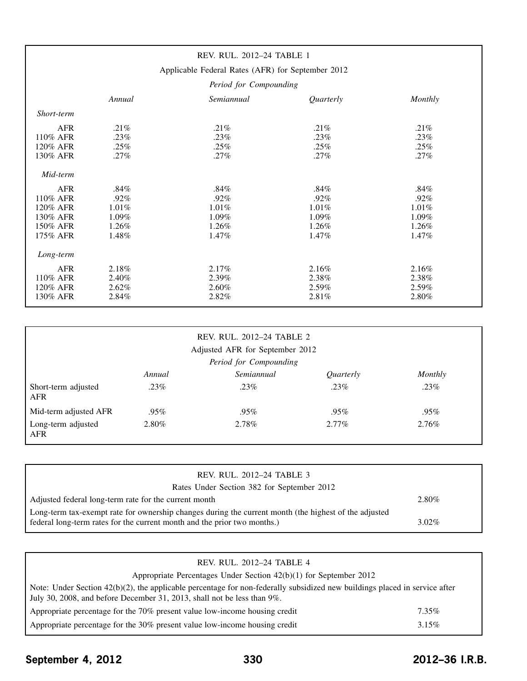#### REV. RUL. 2012–24 TABLE 1

## Applicable Federal Rates (AFR) for September 2012

#### *Period for Compounding*

|                                                | Annual                              | Semiannual                          | Quarterly                           | Monthly                          |  |
|------------------------------------------------|-------------------------------------|-------------------------------------|-------------------------------------|----------------------------------|--|
| Short-term                                     |                                     |                                     |                                     |                                  |  |
| <b>AFR</b><br>110% AFR                         | $.21\%$<br>.23%                     | .21%<br>.23%                        | .21%<br>.23%                        | $.21\%$<br>.23%                  |  |
| 120% AFR<br>130% AFR                           | .25%<br>.27%                        | $.25\%$<br>$.27\%$                  | $.25\%$<br>$.27\%$                  | $.25\%$<br>.27%                  |  |
| Mid-term                                       |                                     |                                     |                                     |                                  |  |
| <b>AFR</b>                                     | .84%                                | $.84\%$                             | $.84\%$                             | $.84\%$                          |  |
| 110% AFR                                       | .92%                                | .92%                                | .92%                                | .92%                             |  |
| 120% AFR                                       | $1.01\%$                            | $1.01\%$                            | $1.01\%$                            | $1.01\%$                         |  |
| 130% AFR                                       | 1.09%                               | 1.09%                               | $1.09\%$                            | 1.09%                            |  |
| 150% AFR                                       | 1.26%                               | 1.26%                               | 1.26%                               | 1.26%                            |  |
| 175% AFR                                       | 1.48%                               | 1.47%                               | 1.47%                               | 1.47%                            |  |
| Long-term                                      |                                     |                                     |                                     |                                  |  |
| <b>AFR</b><br>110% AFR<br>120% AFR<br>130% AFR | 2.18%<br>2.40%<br>$2.62\%$<br>2.84% | 2.17%<br>2.39%<br>$2.60\%$<br>2.82% | 2.16%<br>2.38%<br>$2.59\%$<br>2.81% | 2.16%<br>2.38%<br>2.59%<br>2.80% |  |

| REV. RUL. 2012–24 TABLE 2<br>Adjusted AFR for September 2012<br>Period for Compounding |         |            |           |         |  |  |  |  |
|----------------------------------------------------------------------------------------|---------|------------|-----------|---------|--|--|--|--|
|                                                                                        | Annual  | Semiannual | Quarterly | Monthly |  |  |  |  |
| Short-term adjusted<br><b>AFR</b>                                                      | $.23\%$ | $.23\%$    | $.23\%$   | $.23\%$ |  |  |  |  |
| Mid-term adjusted AFR                                                                  | $.95\%$ | $.95\%$    | $.95\%$   | .95%    |  |  |  |  |
| Long-term adjusted<br><b>AFR</b>                                                       | 2.80%   | 2.78%      | $2.77\%$  | 2.76%   |  |  |  |  |

| REV. RUL. 2012–24 TABLE 3                                                                                                                                                         |          |
|-----------------------------------------------------------------------------------------------------------------------------------------------------------------------------------|----------|
| Rates Under Section 382 for September 2012                                                                                                                                        |          |
| Adjusted federal long-term rate for the current month                                                                                                                             | 2.80%    |
| Long-term tax-exempt rate for ownership changes during the current month (the highest of the adjusted<br>federal long-term rates for the current month and the prior two months.) | $3.02\%$ |

| REV. RUL. 2012–24 TABLE 4                                                                                                                                                                             |          |
|-------------------------------------------------------------------------------------------------------------------------------------------------------------------------------------------------------|----------|
| Appropriate Percentages Under Section $42(b)(1)$ for September 2012                                                                                                                                   |          |
| Note: Under Section 42(b)(2), the applicable percentage for non-federally subsidized new buildings placed in service after<br>July 30, 2008, and before December 31, 2013, shall not be less than 9%. |          |
| Appropriate percentage for the 70% present value low-income housing credit                                                                                                                            | $7.35\%$ |
| Appropriate percentage for the 30% present value low-income housing credit                                                                                                                            | 3.15%    |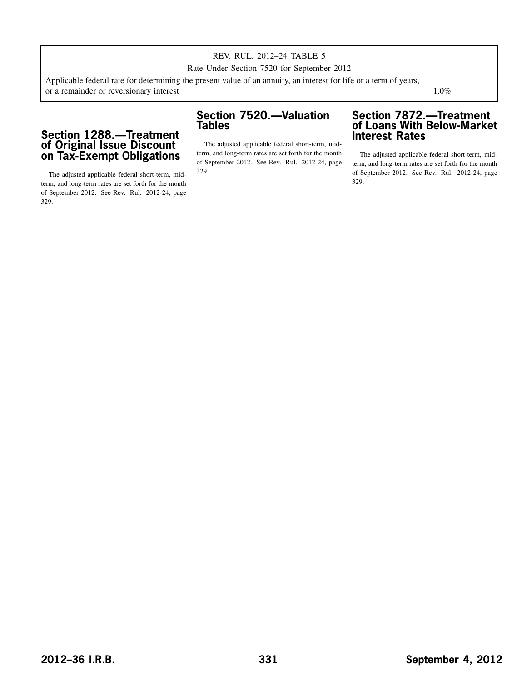#### REV. RUL. 2012–24 TABLE 5

Rate Under Section 7520 for September 2012

Applicable federal rate for determining the present value of an annuity, an interest for life or a term of years, or a remainder or reversionary interest 1.0%

## **Section 1288.—Treatment of Original Issue Discount on Tax-Exempt Obligations**

The adjusted applicable federal short-term, midterm, and long-term rates are set forth for the month of September 2012. See Rev. Rul. 2012-24, page [329.](#page-2-0)

## **Section 7520.—Valuation Tables**

The adjusted applicable federal short-term, midterm, and long-term rates are set forth for the month of September 2012. See Rev. Rul. 2012-24, page [329](#page-2-0).

### **Section 7872.—Treatment of Loans With Below-Market Interest Rates**

The adjusted applicable federal short-term, midterm, and long-term rates are set forth for the month of September 2012. See Rev. Rul. 2012-24, page [329](#page-2-0).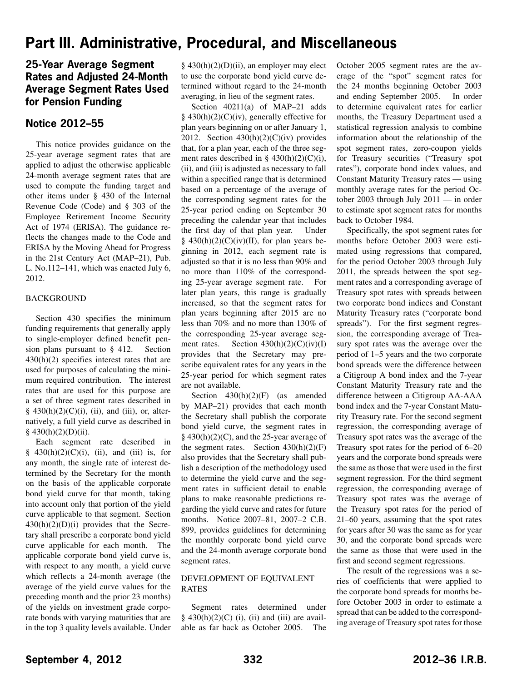## <span id="page-5-0"></span>**Part III. Administrative, Procedural, and Miscellaneous**

## **25-Year Average Segment Rates and Adjusted 24-Month Average Segment Rates Used for Pension Funding**

## **Notice 2012–55**

This notice provides guidance on the 25-year average segment rates that are applied to adjust the otherwise applicable 24-month average segment rates that are used to compute the funding target and other items under § 430 of the Internal Revenue Code (Code) and § 303 of the Employee Retirement Income Security Act of 1974 (ERISA). The guidance reflects the changes made to the Code and ERISA by the Moving Ahead for Progress in the 21st Century Act (MAP–21), Pub. L. No.112–141, which was enacted July 6, 2012.

#### BACKGROUND

Section 430 specifies the minimum funding requirements that generally apply to single-employer defined benefit pension plans pursuant to § 412. Section 430(h)(2) specifies interest rates that are used for purposes of calculating the minimum required contribution. The interest rates that are used for this purpose are a set of three segment rates described in  $§$  430(h)(2)(C)(i), (ii), and (iii), or, alternatively, a full yield curve as described in  $§$  430(h)(2)(D)(ii).

Each segment rate described in  $§$  430(h)(2)(C)(i), (ii), and (iii) is, for any month, the single rate of interest determined by the Secretary for the month on the basis of the applicable corporate bond yield curve for that month, taking into account only that portion of the yield curve applicable to that segment. Section  $430(h)(2)(D)(i)$  provides that the Secretary shall prescribe a corporate bond yield curve applicable for each month. The applicable corporate bond yield curve is, with respect to any month, a yield curve which reflects a 24-month average (the average of the yield curve values for the preceding month and the prior 23 months) of the yields on investment grade corporate bonds with varying maturities that are in the top 3 quality levels available. Under

 $§$  430(h)(2)(D)(ii), an employer may elect to use the corporate bond yield curve determined without regard to the 24-month averaging, in lieu of the segment rates.

Section 40211(a) of MAP–21 adds § 430(h)(2)(C)(iv), generally effective for plan years beginning on or after January 1, 2012. Section  $430(h)(2)(C)(iv)$  provides that, for a plan year, each of the three segment rates described in §  $430(h)(2)(C)(i)$ , (ii), and (iii) is adjusted as necessary to fall within a specified range that is determined based on a percentage of the average of the corresponding segment rates for the 25-year period ending on September 30 preceding the calendar year that includes the first day of that plan year. Under §  $430(h)(2)(C)(iv)(II)$ , for plan years beginning in 2012, each segment rate is adjusted so that it is no less than 90% and no more than 110% of the corresponding 25-year average segment rate. For later plan years, this range is gradually increased, so that the segment rates for plan years beginning after 2015 are no less than 70% and no more than 130% of the corresponding 25-year average segment rates. Section  $430(h)(2)(C)(iv)(I)$ provides that the Secretary may prescribe equivalent rates for any years in the 25-year period for which segment rates are not available.

Section  $430(h)(2)(F)$  (as amended by MAP–21) provides that each month the Secretary shall publish the corporate bond yield curve, the segment rates in § 430(h)(2)(C), and the 25-year average of the segment rates. Section  $430(h)(2)(F)$ also provides that the Secretary shall publish a description of the methodology used to determine the yield curve and the segment rates in sufficient detail to enable plans to make reasonable predictions regarding the yield curve and rates for future months. Notice 2007–81, 2007–2 C.B. 899, provides guidelines for determining the monthly corporate bond yield curve and the 24-month average corporate bond segment rates.

#### DEVELOPMENT OF EQUIVALENT RATES

Segment rates determined under  $§$  430(h)(2)(C) (i), (ii) and (iii) are available as far back as October 2005. The October 2005 segment rates are the average of the "spot" segment rates for the 24 months beginning October 2003 and ending September 2005. In order to determine equivalent rates for earlier months, the Treasury Department used a statistical regression analysis to combine information about the relationship of the spot segment rates, zero-coupon yields for Treasury securities ("Treasury spot rates"), corporate bond index values, and Constant Maturity Treasury rates — using monthly average rates for the period October 2003 through July 2011 — in order to estimate spot segment rates for months back to October 1984.

Specifically, the spot segment rates for months before October 2003 were estimated using regressions that compared, for the period October 2003 through July 2011, the spreads between the spot segment rates and a corresponding average of Treasury spot rates with spreads between two corporate bond indices and Constant Maturity Treasury rates ("corporate bond spreads"). For the first segment regression, the corresponding average of Treasury spot rates was the average over the period of 1–5 years and the two corporate bond spreads were the difference between a Citigroup A bond index and the 7-year Constant Maturity Treasury rate and the difference between a Citigroup AA-AAA bond index and the 7-year Constant Maturity Treasury rate. For the second segment regression, the corresponding average of Treasury spot rates was the average of the Treasury spot rates for the period of 6–20 years and the corporate bond spreads were the same as those that were used in the first segment regression. For the third segment regression, the corresponding average of Treasury spot rates was the average of the Treasury spot rates for the period of 21–60 years, assuming that the spot rates for years after 30 was the same as for year 30, and the corporate bond spreads were the same as those that were used in the first and second segment regressions.

The result of the regressions was a series of coefficients that were applied to the corporate bond spreads for months before October 2003 in order to estimate a spread that can be added to the corresponding average of Treasury spot rates for those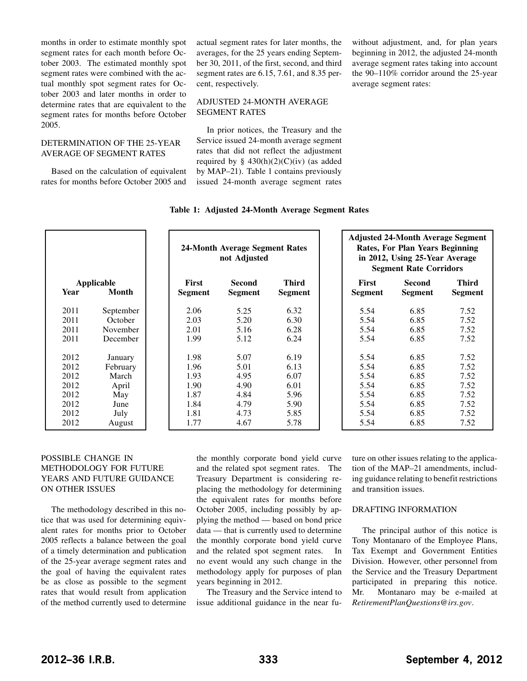months in order to estimate monthly spot segment rates for each month before October 2003. The estimated monthly spot segment rates were combined with the actual monthly spot segment rates for October 2003 and later months in order to determine rates that are equivalent to the segment rates for months before October 2005.

#### DETERMINATION OF THE 25-YEAR AVERAGE OF SEGMENT RATES

Based on the calculation of equivalent rates for months before October 2005 and actual segment rates for later months, the averages, for the 25 years ending September 30, 2011, of the first, second, and third segment rates are 6.15, 7.61, and 8.35 percent, respectively.

#### ADJUSTED 24-MONTH AVERAGE SEGMENT RATES

In prior notices, the Treasury and the Service issued 24-month average segment rates that did not reflect the adjustment required by §  $430(h)(2)(C)(iv)$  (as added by MAP–21). Table 1 contains previously issued 24-month average segment rates without adjustment, and, for plan years beginning in 2012, the adjusted 24-month average segment rates taking into account the 90–110% corridor around the 25-year average segment rates:

#### **Table 1: Adjusted 24-Month Average Segment Rates**

|      |                            |  | 24-Month Average Segment Rates<br>not Adjusted |                          | <b>Adjusted 24-Month Average Segment</b><br><b>Rates, For Plan Years Beginning</b><br>in 2012, Using 25-Year Average<br><b>Segment Rate Corridors</b> |                         |                          |                         |
|------|----------------------------|--|------------------------------------------------|--------------------------|-------------------------------------------------------------------------------------------------------------------------------------------------------|-------------------------|--------------------------|-------------------------|
| Year | Applicable<br><b>Month</b> |  | First<br>Segment                               | <b>Second</b><br>Segment | <b>Third</b><br>Segment                                                                                                                               | First<br><b>Segment</b> | <b>Second</b><br>Segment | <b>Third</b><br>Segment |
|      |                            |  |                                                |                          |                                                                                                                                                       |                         |                          |                         |
| 2011 | September                  |  | 2.06                                           | 5.25                     | 6.32                                                                                                                                                  | 5.54                    | 6.85                     | 7.52                    |
| 2011 | October                    |  | 2.03                                           | 5.20                     | 6.30                                                                                                                                                  | 5.54                    | 6.85                     | 7.52                    |
| 2011 | November                   |  | 2.01                                           | 5.16                     | 6.28                                                                                                                                                  | 5.54                    | 6.85                     | 7.52                    |
| 2011 | December                   |  | 1.99                                           | 5.12                     | 6.24                                                                                                                                                  | 5.54                    | 6.85                     | 7.52                    |
| 2012 | January                    |  | 1.98                                           | 5.07                     | 6.19                                                                                                                                                  | 5.54                    | 6.85                     | 7.52                    |
| 2012 | February                   |  | 1.96                                           | 5.01                     | 6.13                                                                                                                                                  | 5.54                    | 6.85                     | 7.52                    |
| 2012 | March                      |  | 1.93                                           | 4.95                     | 6.07                                                                                                                                                  | 5.54                    | 6.85                     | 7.52                    |
| 2012 | April                      |  | 1.90                                           | 4.90                     | 6.01                                                                                                                                                  | 5.54                    | 6.85                     | 7.52                    |
| 2012 | May                        |  | 1.87                                           | 4.84                     | 5.96                                                                                                                                                  | 5.54                    | 6.85                     | 7.52                    |
| 2012 | June                       |  | 1.84                                           | 4.79                     | 5.90                                                                                                                                                  | 5.54                    | 6.85                     | 7.52                    |
| 2012 | July                       |  | 1.81                                           | 4.73                     | 5.85                                                                                                                                                  | 5.54                    | 6.85                     | 7.52                    |
| 2012 | August                     |  | 1.77                                           | 4.67                     | 5.78                                                                                                                                                  | 5.54                    | 6.85                     | 7.52                    |

#### POSSIBLE CHANGE IN METHODOLOGY FOR FUTURE YEARS AND FUTURE GUIDANCE ON OTHER ISSUES

The methodology described in this notice that was used for determining equivalent rates for months prior to October 2005 reflects a balance between the goal of a timely determination and publication of the 25-year average segment rates and the goal of having the equivalent rates be as close as possible to the segment rates that would result from application of the method currently used to determine the monthly corporate bond yield curve and the related spot segment rates. The Treasury Department is considering replacing the methodology for determining the equivalent rates for months before October 2005, including possibly by applying the method — based on bond price data — that is currently used to determine the monthly corporate bond yield curve and the related spot segment rates. In no event would any such change in the methodology apply for purposes of plan years beginning in 2012.

The Treasury and the Service intend to issue additional guidance in the near future on other issues relating to the application of the MAP–21 amendments, including guidance relating to benefit restrictions and transition issues.

#### DRAFTING INFORMATION

The principal author of this notice is Tony Montanaro of the Employee Plans, Tax Exempt and Government Entities Division. However, other personnel from the Service and the Treasury Department participated in preparing this notice. Mr. Montanaro may be e-mailed at *RetirementPlanQuestions@irs.gov*.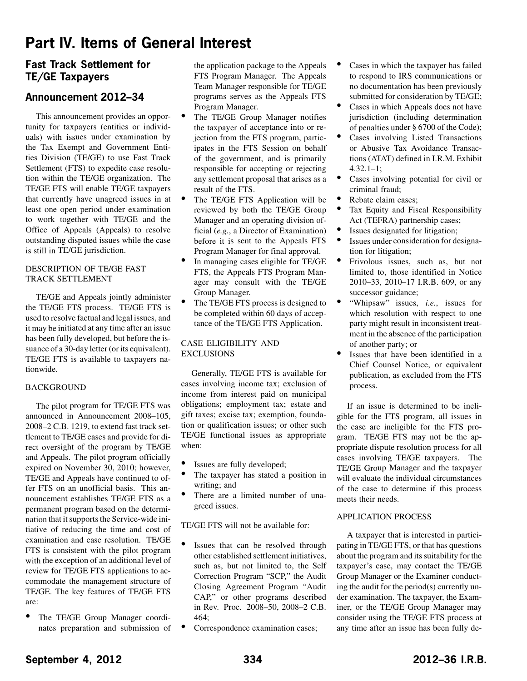## <span id="page-7-0"></span>**Part IV. Items of General Interest**

## **Fast Track Settlement for TE/GE Taxpayers**

## **Announcement 2012–34**

This announcement provides an opportunity for taxpayers (entities or individuals) with issues under examination by the Tax Exempt and Government Entities Division (TE/GE) to use Fast Track Settlement (FTS) to expedite case resolution within the TE/GE organization. The TE/GE FTS will enable TE/GE taxpayers that currently have unagreed issues in at least one open period under examination to work together with TE/GE and the Office of Appeals (Appeals) to resolve outstanding disputed issues while the case is still in TE/GE jurisdiction.

#### DESCRIPTION OF TE/GE FAST TRACK SETTLEMENT

TE/GE and Appeals jointly administer the TE/GE FTS process. TE/GE FTS is used to resolve factual and legal issues, and it may be initiated at any time after an issue has been fully developed, but before the issuance of a 30-day letter (or its equivalent). TE/GE FTS is available to taxpayers nationwide.

#### BACKGROUND

The pilot program for TE/GE FTS was announced in Announcement 2008–105, 2008–2 C.B. 1219, to extend fast track settlement to TE/GE cases and provide for direct oversight of the program by TE/GE and Appeals. The pilot program officially expired on November 30, 2010; however, TE/GE and Appeals have continued to offer FTS on an unofficial basis. This announcement establishes TE/GE FTS as a permanent program based on the determination that it supports the Service-wide initiative of reducing the time and cost of examination and case resolution. TE/GE FTS is consistent with the pilot program with the exception of an additional level of review for TE/GE FTS applications to accommodate the management structure of TE/GE. The key features of TE/GE FTS are:

The TE/GE Group Manager coordinates preparation and submission of

the application package to the Appeals FTS Program Manager. The Appeals Team Manager responsible for TE/GE programs serves as the Appeals FTS Program Manager.

- The TE/GE Group Manager notifies the taxpayer of acceptance into or rejection from the FTS program, participates in the FTS Session on behalf of the government, and is primarily responsible for accepting or rejecting any settlement proposal that arises as a result of the FTS.
- The TE/GE FTS Application will be reviewed by both the TE/GE Group Manager and an operating division official (*e.g.*, a Director of Examination) before it is sent to the Appeals FTS Program Manager for final approval.
- In managing cases eligible for TE/GE FTS, the Appeals FTS Program Manager may consult with the TE/GE Group Manager.
- The TE/GE FTS process is designed to be completed within 60 days of acceptance of the TE/GE FTS Application.

#### CASE ELIGIBILITY AND EXCLUSIONS

Generally, TE/GE FTS is available for cases involving income tax; exclusion of income from interest paid on municipal obligations; employment tax; estate and gift taxes; excise tax; exemption, foundation or qualification issues; or other such TE/GE functional issues as appropriate when:

- Issues are fully developed;
- The taxpayer has stated a position in writing; and
- There are a limited number of unagreed issues.

TE/GE FTS will not be available for:

- Issues that can be resolved through other established settlement initiatives, such as, but not limited to, the Self Correction Program "SCP," the Audit Closing Agreement Program "Audit CAP," or other programs described in Rev. Proc. 2008–50, 2008–2 C.B. 464;
- Correspondence examination cases;
- Cases in which the taxpayer has failed to respond to IRS communications or no documentation has been previously submitted for consideration by TE/GE;
- Cases in which Appeals does not have jurisdiction (including determination of penalties under § 6700 of the Code);
- Cases involving Listed Transactions or Abusive Tax Avoidance Transactions (ATAT) defined in I.R.M. Exhibit 4.32.1–1;
- Cases involving potential for civil or criminal fraud;
- Rebate claim cases;
- Tax Equity and Fiscal Responsibility Act (TEFRA) partnership cases;
- Issues designated for litigation;<br>• Issues under consideration for de
- Issues under consideration for designation for litigation;
- Frivolous issues, such as, but not limited to, those identified in Notice 2010–33, 2010–17 I.R.B. 609, or any successor guidance;
- "Whipsaw" issues, *i.e.*, issues for which resolution with respect to one party might result in inconsistent treatment in the absence of the participation of another party; or
- Issues that have been identified in a Chief Counsel Notice, or equivalent publication, as excluded from the FTS process.

If an issue is determined to be ineligible for the FTS program, all issues in the case are ineligible for the FTS program. TE/GE FTS may not be the appropriate dispute resolution process for all cases involving TE/GE taxpayers. The TE/GE Group Manager and the taxpayer will evaluate the individual circumstances of the case to determine if this process meets their needs.

#### APPLICATION PROCESS

A taxpayer that is interested in participating in TE/GE FTS, or that has questions about the program and its suitability for the taxpayer's case, may contact the TE/GE Group Manager or the Examiner conducting the audit for the period(s) currently under examination. The taxpayer, the Examiner, or the TE/GE Group Manager may consider using the TE/GE FTS process at any time after an issue has been fully de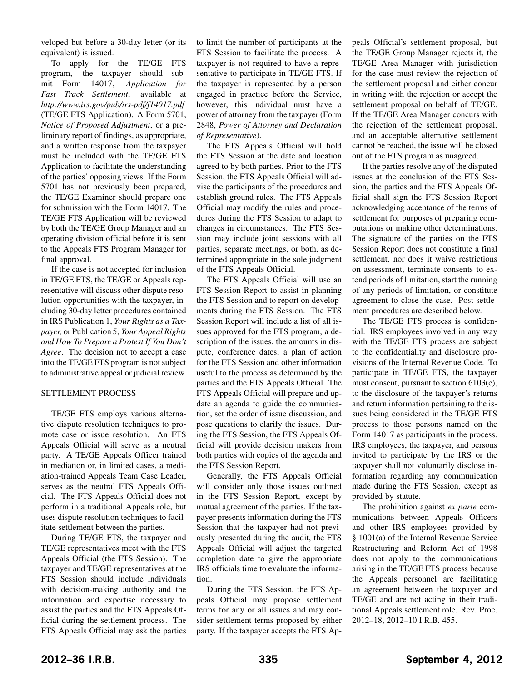veloped but before a 30-day letter (or its equivalent) is issued.

To apply for the TE/GE FTS program, the taxpayer should submit Form 14017, *Application for Fast Track Settlement*, available at *http://www.irs.gov/pub/irs-pdf/f14017.pdf* (TE/GE FTS Application). A Form 5701, *Notice of Proposed Adjustment*, or a preliminary report of findings, as appropriate, and a written response from the taxpayer must be included with the TE/GE FTS Application to facilitate the understanding of the parties' opposing views. If the Form 5701 has not previously been prepared, the TE/GE Examiner should prepare one for submission with the Form 14017. The TE/GE FTS Application will be reviewed by both the TE/GE Group Manager and an operating division official before it is sent to the Appeals FTS Program Manager for final approval.

If the case is not accepted for inclusion in TE/GE FTS, the TE/GE or Appeals representative will discuss other dispute resolution opportunities with the taxpayer, including 30-day letter procedures contained in IRS Publication 1, *Your Rights as a Taxpayer,* or Publication 5, *Your Appeal Rights and How To Prepare a Protest If You Don't Agree*. The decision not to accept a case into the TE/GE FTS program is not subject to administrative appeal or judicial review.

#### SETTLEMENT PROCESS

TE/GE FTS employs various alternative dispute resolution techniques to promote case or issue resolution. An FTS Appeals Official will serve as a neutral party. A TE/GE Appeals Officer trained in mediation or, in limited cases, a mediation-trained Appeals Team Case Leader, serves as the neutral FTS Appeals Official. The FTS Appeals Official does not perform in a traditional Appeals role, but uses dispute resolution techniques to facilitate settlement between the parties.

During TE/GE FTS, the taxpayer and TE/GE representatives meet with the FTS Appeals Official (the FTS Session). The taxpayer and TE/GE representatives at the FTS Session should include individuals with decision-making authority and the information and expertise necessary to assist the parties and the FTS Appeals Official during the settlement process. The FTS Appeals Official may ask the parties

to limit the number of participants at the FTS Session to facilitate the process. A taxpayer is not required to have a representative to participate in TE/GE FTS. If the taxpayer is represented by a person engaged in practice before the Service, however, this individual must have a power of attorney from the taxpayer (Form 2848, *Power of Attorney and Declaration of Representative*).

The FTS Appeals Official will hold the FTS Session at the date and location agreed to by both parties. Prior to the FTS Session, the FTS Appeals Official will advise the participants of the procedures and establish ground rules. The FTS Appeals Official may modify the rules and procedures during the FTS Session to adapt to changes in circumstances. The FTS Session may include joint sessions with all parties, separate meetings, or both, as determined appropriate in the sole judgment of the FTS Appeals Official.

The FTS Appeals Official will use an FTS Session Report to assist in planning the FTS Session and to report on developments during the FTS Session. The FTS Session Report will include a list of all issues approved for the FTS program, a description of the issues, the amounts in dispute, conference dates, a plan of action for the FTS Session and other information useful to the process as determined by the parties and the FTS Appeals Official. The FTS Appeals Official will prepare and update an agenda to guide the communication, set the order of issue discussion, and pose questions to clarify the issues. During the FTS Session, the FTS Appeals Official will provide decision makers from both parties with copies of the agenda and the FTS Session Report.

Generally, the FTS Appeals Official will consider only those issues outlined in the FTS Session Report, except by mutual agreement of the parties. If the taxpayer presents information during the FTS Session that the taxpayer had not previously presented during the audit, the FTS Appeals Official will adjust the targeted completion date to give the appropriate IRS officials time to evaluate the information.

During the FTS Session, the FTS Appeals Official may propose settlement terms for any or all issues and may consider settlement terms proposed by either party. If the taxpayer accepts the FTS Appeals Official's settlement proposal, but the TE/GE Group Manager rejects it, the TE/GE Area Manager with jurisdiction for the case must review the rejection of the settlement proposal and either concur in writing with the rejection or accept the settlement proposal on behalf of TE/GE. If the TE/GE Area Manager concurs with the rejection of the settlement proposal, and an acceptable alternative settlement cannot be reached, the issue will be closed out of the FTS program as unagreed.

If the parties resolve any of the disputed issues at the conclusion of the FTS Session, the parties and the FTS Appeals Official shall sign the FTS Session Report acknowledging acceptance of the terms of settlement for purposes of preparing computations or making other determinations. The signature of the parties on the FTS Session Report does not constitute a final settlement, nor does it waive restrictions on assessment, terminate consents to extend periods of limitation, start the running of any periods of limitation, or constitute agreement to close the case. Post-settlement procedures are described below.

The TE/GE FTS process is confidential. IRS employees involved in any way with the TE/GE FTS process are subject to the confidentiality and disclosure provisions of the Internal Revenue Code. To participate in TE/GE FTS, the taxpayer must consent, pursuant to section 6103(c), to the disclosure of the taxpayer's returns and return information pertaining to the issues being considered in the TE/GE FTS process to those persons named on the Form 14017 as participants in the process. IRS employees, the taxpayer, and persons invited to participate by the IRS or the taxpayer shall not voluntarily disclose information regarding any communication made during the FTS Session, except as provided by statute.

The prohibition against *ex parte* communications between Appeals Officers and other IRS employees provided by § 1001(a) of the Internal Revenue Service Restructuring and Reform Act of 1998 does not apply to the communications arising in the TE/GE FTS process because the Appeals personnel are facilitating an agreement between the taxpayer and TE/GE and are not acting in their traditional Appeals settlement role. Rev. Proc. 2012–18, 2012–10 I.R.B. 455.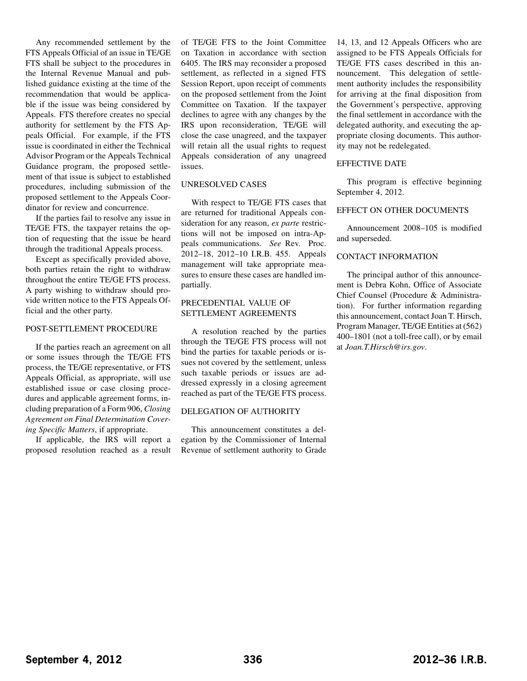Any recommended settlement by the FTS Appeals Official of an issue in TE/GE FTS shall be subject to the procedures in the Internal Revenue Manual and published guidance existing at the time of the recommendation that would be applicable if the issue was being considered by Appeals. FTS therefore creates no special authority for settlement by the FTS Appeals Official. For example, if the FTS issue is coordinated in either the Technical Advisor Program or the Appeals Technical Guidance program, the proposed settlement of that issue is subject to established procedures, including submission of the proposed settlement to the Appeals Coordinator for review and concurrence.

If the parties fail to resolve any issue in TE/GE FTS, the taxpayer retains the option of requesting that the issue be heard through the traditional Appeals process.

Except as specifically provided above, both parties retain the right to withdraw throughout the entire TE/GE FTS process. A party wishing to withdraw should provide written notice to the FTS Appeals Official and the other party.

#### POST-SETTLEMENT PROCEDURE

If the parties reach an agreement on all or some issues through the TE/GE FTS process, the TE/GE representative, or FTS Appeals Official, as appropriate, will use established issue or case closing procedures and applicable agreement forms, including preparation of a Form 906, *Closing Agreement on Final Determination Covering Specific Matters*, if appropriate.

If applicable, the IRS will report a proposed resolution reached as a result

of TE/GE FTS to the Joint Committee on Taxation in accordance with section 6405. The IRS may reconsider a proposed settlement, as reflected in a signed FTS Session Report, upon receipt of comments on the proposed settlement from the Joint Committee on Taxation. If the taxpayer declines to agree with any changes by the IRS upon reconsideration, TE/GE will close the case unagreed, and the taxpayer will retain all the usual rights to request Appeals consideration of any unagreed issues.

#### UNRESOLVED CASES

With respect to TE/GE FTS cases that are returned for traditional Appeals consideration for any reason, *ex parte* restrictions will not be imposed on intra-Appeals communications. *See* Rev. Proc. 2012–18, 2012–10 I.R.B. 455. Appeals management will take appropriate measures to ensure these cases are handled impartially.

#### PRECEDENTIAL VALUE OF SETTLEMENT AGREEMENTS

A resolution reached by the parties through the TE/GE FTS process will not bind the parties for taxable periods or issues not covered by the settlement, unless such taxable periods or issues are addressed expressly in a closing agreement reached as part of the TE/GE FTS process.

#### DELEGATION OF AUTHORITY

This announcement constitutes a delegation by the Commissioner of Internal Revenue of settlement authority to Grade

14, 13, and 12 Appeals Officers who are assigned to be FTS Appeals Officials for TE/GE FTS cases described in this announcement. This delegation of settlement authority includes the responsibility for arriving at the final disposition from the Government's perspective, approving the final settlement in accordance with the delegated authority, and executing the appropriate closing documents. This authority may not be redelegated.

#### EFFECTIVE DATE

This program is effective beginning September 4, 2012.

#### EFFECT ON OTHER DOCUMENTS

Announcement 2008–105 is modified and superseded.

#### CONTACT INFORMATION

The principal author of this announcement is Debra Kohn, Office of Associate Chief Counsel (Procedure & Administration). For further information regarding this announcement, contact Joan T. Hirsch, Program Manager, TE/GE Entities at (562) 400–1801 (not a toll-free call), or by email at *Joan.T.Hirsch@irs.gov*.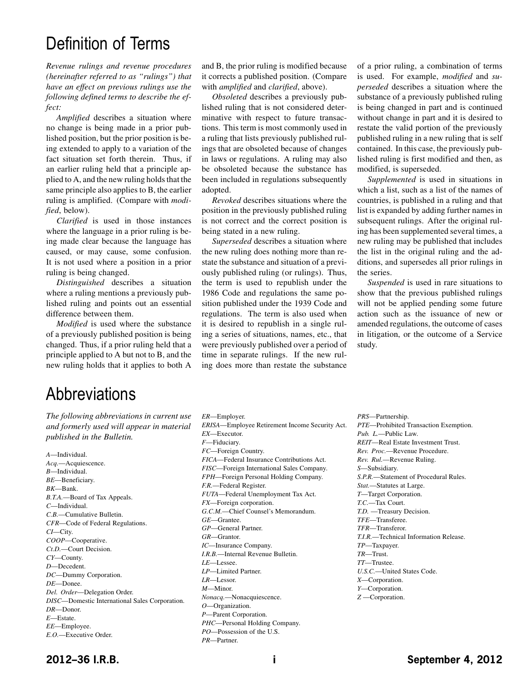# Definition of Terms

*Revenue rulings and revenue procedures (hereinafter referred to as "rulings") that have an effect on previous rulings use the following defined terms to describe the effect:*

*Amplified* describes a situation where no change is being made in a prior published position, but the prior position is being extended to apply to a variation of the fact situation set forth therein. Thus, if an earlier ruling held that a principle applied to A, and the new ruling holds that the same principle also applies to B, the earlier ruling is amplified. (Compare with *modified*, below).

*Clarified* is used in those instances where the language in a prior ruling is being made clear because the language has caused, or may cause, some confusion. It is not used where a position in a prior ruling is being changed.

*Distinguished* describes a situation where a ruling mentions a previously published ruling and points out an essential difference between them.

*Modified* is used where the substance of a previously published position is being changed. Thus, if a prior ruling held that a principle applied to A but not to B, and the new ruling holds that it applies to both A

and B, the prior ruling is modified because it corrects a published position. (Compare with *amplified* and *clarified*, above).

*Obsoleted* describes a previously published ruling that is not considered determinative with respect to future transactions. This term is most commonly used in a ruling that lists previously published rulings that are obsoleted because of changes in laws or regulations. A ruling may also be obsoleted because the substance has been included in regulations subsequently adopted.

*Revoked* describes situations where the position in the previously published ruling is not correct and the correct position is being stated in a new ruling.

*Superseded* describes a situation where the new ruling does nothing more than restate the substance and situation of a previously published ruling (or rulings). Thus, the term is used to republish under the 1986 Code and regulations the same position published under the 1939 Code and regulations. The term is also used when it is desired to republish in a single ruling a series of situations, names, etc., that were previously published over a period of time in separate rulings. If the new ruling does more than restate the substance

of a prior ruling, a combination of terms is used. For example, *modified* and *superseded* describes a situation where the substance of a previously published ruling is being changed in part and is continued without change in part and it is desired to restate the valid portion of the previously published ruling in a new ruling that is self contained. In this case, the previously published ruling is first modified and then, as modified, is superseded.

*Supplemented* is used in situations in which a list, such as a list of the names of countries, is published in a ruling and that list is expanded by adding further names in subsequent rulings. After the original ruling has been supplemented several times, a new ruling may be published that includes the list in the original ruling and the additions, and supersedes all prior rulings in the series.

*Suspended* is used in rare situations to show that the previous published rulings will not be applied pending some future action such as the issuance of new or amended regulations, the outcome of cases in litigation, or the outcome of a Service study.

# Abbreviations

*The following abbreviations in current use and formerly used will appear in material published in the Bulletin.*

*A*—Individual. *Acq.*—Acquiescence. *B*—Individual. *BE*—Beneficiary. *BK*—Bank. *B.T.A.*—Board of Tax Appeals. *C*—Individual. *C.B.*—Cumulative Bulletin. *CFR*—Code of Federal Regulations. *CI*—City. *COOP*—Cooperative. *Ct.D.*—Court Decision. *CY*—County. *D*—Decedent. *DC*—Dummy Corporation. *DE*—Donee. *Del. Order*—Delegation Order. *DISC*—Domestic International Sales Corporation. *DR*—Donor. *E*—Estate. *EE*—Employee. *E.O.*—Executive Order.

*ER*—Employer. *ERISA*—Employee Retirement Income Security Act. *EX*—Executor. *F*—Fiduciary. *FC*—Foreign Country. *FICA*—Federal Insurance Contributions Act. *FISC*—Foreign International Sales Company. *FPH*—Foreign Personal Holding Company. *F.R.*—Federal Register. *FUTA*—Federal Unemployment Tax Act. *FX*—Foreign corporation. *G.C.M.*—Chief Counsel's Memorandum. *GE*—Grantee. *GP*—General Partner. *GR*—Grantor. *IC*—Insurance Company. *I.R.B.*—Internal Revenue Bulletin. *LE*—Lessee. *LP*—Limited Partner. *LR*—Lessor. *M*—Minor. *Nonacq.*—Nonacquiescence. *O*—Organization. *P*—Parent Corporation. *PHC*—Personal Holding Company. *PO*—Possession of the U.S.

*PRS*—Partnership. *PTE*—Prohibited Transaction Exemption. *Pub. L.*—Public Law. *REIT*—Real Estate Investment Trust. *Rev. Proc.*—Revenue Procedure. *Rev. Rul.*—Revenue Ruling. *S*—Subsidiary. *S.P.R.*—Statement of Procedural Rules. *Stat.*—Statutes at Large. *T*—Target Corporation. *T.C.*—Tax Court. *T.D.* —Treasury Decision. *TFE*—Transferee. *TFR*—Transferor. *T.I.R.*—Technical Information Release. *TP*—Taxpayer. *TR*—Trust. *TT*—Trustee. *U.S.C.*—United States Code. *X*—Corporation. *Y*—Corporation. *Z* —Corporation.

*PR*—Partner.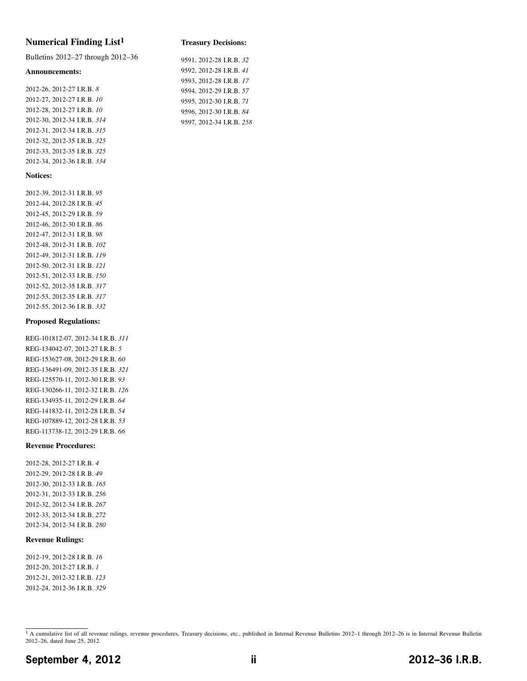### **Numerical Finding List1**

Bulletins 2012–27 through 2012–36

#### **Announcements:**

2012-26, 2012-27 I.R.B. *8* 2012-27, 2012-27 I.R.B. *10* 2012-28, 2012-27 I.R.B. *10* 2012-30, 2012-34 I.R.B. *314* 2012-31, 2012-34 I.R.B. *315* 2012-32, 2012-35 I.R.B. *325* 2012-33, 2012-35 I.R.B. *325* 2012-34, 2012-36 I.R.B. *[334](#page-7-0)*

#### **Notices:**

2012-39, 2012-31 I.R.B. *95* 2012-44, 2012-28 I.R.B. *45* 2012-45, 2012-29 I.R.B. *59* 2012-46, 2012-30 I.R.B. *86* 2012-47, 2012-31 I.R.B. *98* 2012-48, 2012-31 I.R.B. *102* 2012-49, 2012-31 I.R.B. *119* 2012-50, 2012-31 I.R.B. *121* 2012-51, 2012-33 I.R.B. *150* 2012-52, 2012-35 I.R.B. *317* 2012-53, 2012-35 I.R.B. *317* 2012-55, 2012-36 I.R.B. *[332](#page-5-0)*

#### **Proposed Regulations:**

REG-101812-07, 2012-34 I.R.B. *311* REG-134042-07, 2012-27 I.R.B. *5* REG-153627-08, 2012-29 I.R.B. *60* REG-136491-09, 2012-35 I.R.B. *321* REG-125570-11, 2012-30 I.R.B. *93* REG-130266-11, 2012-32 I.R.B. *126* REG-134935-11, 2012-29 I.R.B. *64* REG-141832-11, 2012-28 I.R.B. *54* REG-107889-12, 2012-28 I.R.B. *53* REG-113738-12, 2012-29 I.R.B. *66*

#### **Revenue Procedures:**

2012-28, 2012-27 I.R.B. *4* 2012-29, 2012-28 I.R.B. *49* 2012-30, 2012-33 I.R.B. *165* 2012-31, 2012-33 I.R.B. *256* 2012-32, 2012-34 I.R.B. *267* 2012-33, 2012-34 I.R.B. *272* 2012-34, 2012-34 I.R.B. *280*

#### **Revenue Rulings:**

2012-19, 2012-28 I.R.B. *16* 2012-20, 2012-27 I.R.B. *1* 2012-21, 2012-32 I.R.B. *123* 2012-24, 2012-36 I.R.B. *[329](#page-2-0)*

#### **Treasury Decisions:**

| 9591, 2012-28 I.R.B. 32  |
|--------------------------|
| 9592, 2012-28 I.R.B. 41  |
| 9593, 2012-28 I.R.B. 17  |
| 9594, 2012-29 I.R.B. 57  |
| 9595, 2012-30 I.R.B. 71  |
| 9596, 2012-30 I.R.B. 84  |
| 9597, 2012-34 I.R.B. 258 |
|                          |

<sup>&</sup>lt;sup>1</sup> A cumulative list of all revenue rulings, revenue procedures, Treasury decisions, etc., published in Internal Revenue Bulletins 2012-1 through 2012-26 is in Internal Revenue Bulletin 2012–26, dated June 25, 2012.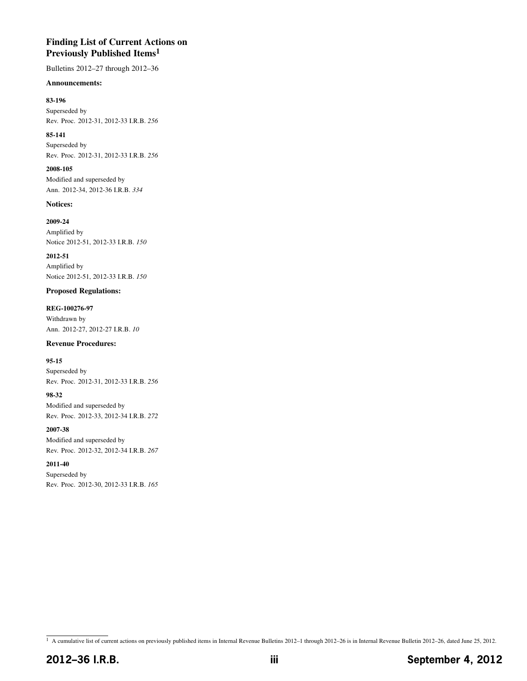### **Finding List of Current Actions on Previously Published Items1**

Bulletins 2012–27 through 2012–36

#### **Announcements:**

#### **83-196**

Superseded by Rev. Proc. 2012-31, 2012-33 I.R.B. *256*

#### **85-141**

Superseded by Rev. Proc. 2012-31, 2012-33 I.R.B. *256*

**2008-105** Modified and superseded by Ann. 2012-34, 2012-36 I.R.B. *[334](#page-7-0)*

#### **Notices:**

**2009-24** Amplified by Notice 2012-51, 2012-33 I.R.B. *150*

**2012-51** Amplified by Notice 2012-51, 2012-33 I.R.B. *150*

#### **Proposed Regulations:**

**REG-100276-97** Withdrawn by Ann. 2012-27, 2012-27 I.R.B. *10*

#### **Revenue Procedures:**

**95-15** Superseded by Rev. Proc. 2012-31, 2012-33 I.R.B. *256*

#### **98-32**

Modified and superseded by Rev. Proc. 2012-33, 2012-34 I.R.B. *272*

#### **2007-38**

Modified and superseded by Rev. Proc. 2012-32, 2012-34 I.R.B. *267*

#### **2011-40**

Superseded by Rev. Proc. 2012-30, 2012-33 I.R.B. *165*

<sup>1</sup> A cumulative list of current actions on previously published items in Internal Revenue Bulletins 2012–1 through 2012–26 is in Internal Revenue Bulletin 2012–26, dated June 25, 2012.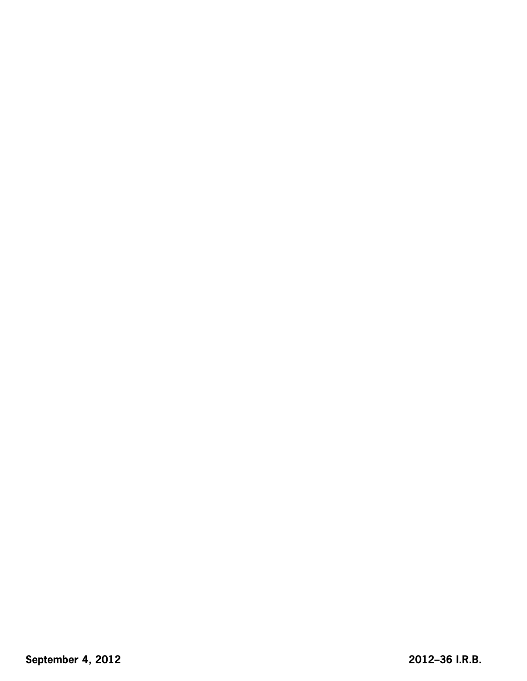**September 4, 2012 2012–36 I.R.B.**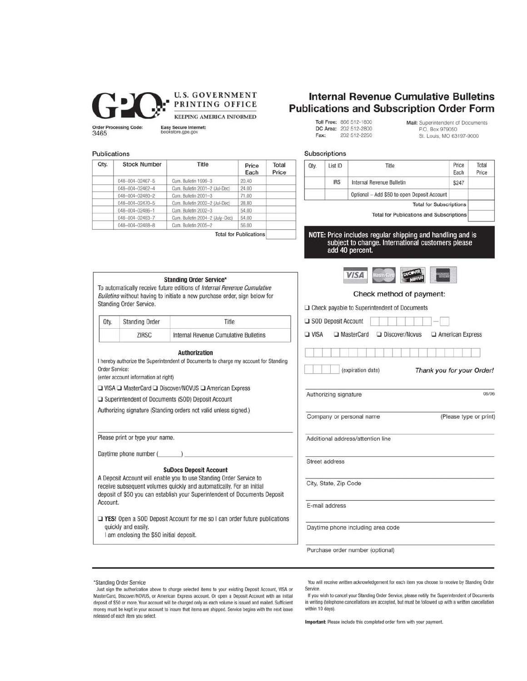

## **Internal Revenue Cumulative Bulletins Publications and Subscription Order Form**

Toll Free: 866 512-1800<br>DC Area: 202 512-2800 202 512-2250 Fax:

Mail: Superintendent of Documents<br>P.O. Box 979050<br>St. Louis, MO 63197-9000

**Cuboorintions** 

|                                                                                                                                                                                                                          | Publications                                           |                                                                                                                                                                                                                                                                                                    |                       |                |                                                                   | <b>Subscriptions</b>  |                                                                                                          |                                                     |                |
|--------------------------------------------------------------------------------------------------------------------------------------------------------------------------------------------------------------------------|--------------------------------------------------------|----------------------------------------------------------------------------------------------------------------------------------------------------------------------------------------------------------------------------------------------------------------------------------------------------|-----------------------|----------------|-------------------------------------------------------------------|-----------------------|----------------------------------------------------------------------------------------------------------|-----------------------------------------------------|----------------|
| Qtv.                                                                                                                                                                                                                     | <b>Stock Number</b>                                    | Title                                                                                                                                                                                                                                                                                              | Price<br>Each         | Total<br>Price | Qty.                                                              | List ID               | Title                                                                                                    | Price<br>Each                                       | Total<br>Price |
|                                                                                                                                                                                                                          | 048-004-02467-5                                        | Cum. Bulletin 1999-3                                                                                                                                                                                                                                                                               | 20.40                 |                |                                                                   | <b>IRS</b>            | Internal Revenue Bulletin                                                                                | <b>\$247</b>                                        |                |
|                                                                                                                                                                                                                          | 048-004-02462-4                                        | Cum. Bulletin 2001-2 (Jul-Dec)                                                                                                                                                                                                                                                                     | 24.00                 |                |                                                                   |                       |                                                                                                          |                                                     |                |
|                                                                                                                                                                                                                          | 048-004-02480-2                                        | Cum. Bulletin 2001-3                                                                                                                                                                                                                                                                               | 71.00                 |                |                                                                   |                       | Optional - Add \$50 to open Deposit Account                                                              |                                                     |                |
|                                                                                                                                                                                                                          | 048-004-02470-5                                        | Cum. Bulletin 2002-2 (Jul-Dec)                                                                                                                                                                                                                                                                     | 28.80                 |                |                                                                   |                       |                                                                                                          | <b>Total for Subscriptions</b>                      |                |
|                                                                                                                                                                                                                          | 048-004-02486-1                                        | Cum. Bulletin 2002-3                                                                                                                                                                                                                                                                               | 54.00                 |                |                                                                   |                       |                                                                                                          |                                                     |                |
|                                                                                                                                                                                                                          | 048-004-02483-7                                        | Cum. Bulletin 2004-2 (July-Dec)                                                                                                                                                                                                                                                                    | 54.00                 |                |                                                                   |                       | <b>Total for Publications and Subscriptions</b>                                                          |                                                     |                |
|                                                                                                                                                                                                                          | 048-004-02488-8                                        | Cum. Bulletin 2005-2                                                                                                                                                                                                                                                                               | 56.00                 |                |                                                                   |                       |                                                                                                          |                                                     |                |
|                                                                                                                                                                                                                          |                                                        | Standing Order Service*<br>To automatically receive future editions of Internal Revenue Cumulative<br>Bulletins without having to initiate a new purchase order, sign below for                                                                                                                    |                       |                |                                                                   |                       | subject to change. International customers please<br>add 40 percent.<br>VISA<br>Check method of payment: |                                                     |                |
|                                                                                                                                                                                                                          | Standing Order Service.                                |                                                                                                                                                                                                                                                                                                    |                       |                |                                                                   |                       | O Check payable to Superintendent of Documents                                                           |                                                     |                |
| Qty.                                                                                                                                                                                                                     | <b>Standing Order</b>                                  | Title                                                                                                                                                                                                                                                                                              |                       |                |                                                                   | SOD Deposit Account   |                                                                                                          |                                                     |                |
| ZIRSC<br><b>Internal Revenue Cumulative Bulletins</b>                                                                                                                                                                    |                                                        |                                                                                                                                                                                                                                                                                                    |                       |                | <b>J</b> VISA<br>MasterCard<br>Discover/Novus<br>American Express |                       |                                                                                                          |                                                     |                |
|                                                                                                                                                                                                                          | Order Service:<br>(enter account information at right) | <b>Authorization</b><br>I hereby authorize the Superintendent of Documents to charge my account for Standing<br>□ VISA □ MasterCard □ Discover/NOVUS □ American Express<br>□ Superintendent of Documents (SOD) Deposit Account<br>Authorizing signature (Standing orders not valid unless signed.) |                       |                |                                                                   | Authorizing signature | (expiration date)<br>Company or personal name                                                            | Thank you for your Order!<br>(Please type or print) | 06/06          |
| Please print or type your name.                                                                                                                                                                                          |                                                        |                                                                                                                                                                                                                                                                                                    |                       |                | Additional address/attention line                                 |                       |                                                                                                          |                                                     |                |
|                                                                                                                                                                                                                          | Daytime phone number (                                 | <b>SuDocs Deposit Account</b>                                                                                                                                                                                                                                                                      |                       |                |                                                                   | Street address        |                                                                                                          |                                                     |                |
| A Deposit Account will enable you to use Standing Order Service to<br>receive subsequent volumes quickly and automatically. For an initial<br>deposit of \$50 you can establish your Superintendent of Documents Deposit |                                                        |                                                                                                                                                                                                                                                                                                    | City, State, Zip Code |                |                                                                   |                       |                                                                                                          |                                                     |                |
| Account.                                                                                                                                                                                                                 |                                                        |                                                                                                                                                                                                                                                                                                    |                       |                |                                                                   | E-mail address        |                                                                                                          |                                                     |                |
| <b>THES!</b> Open a SOD Deposit Account for me so I can order future publications<br>quickly and easily.<br>I am enclosing the \$50 initial deposit.                                                                     |                                                        |                                                                                                                                                                                                                                                                                                    |                       |                |                                                                   |                       | Daytime phone including area code                                                                        |                                                     |                |
|                                                                                                                                                                                                                          |                                                        |                                                                                                                                                                                                                                                                                                    |                       |                |                                                                   |                       | Purchase order number (optional)                                                                         |                                                     |                |

#### \*Standing Order Service

Just sign the authorization above to charge selected items to your existing Deposit Account, VISA or MasterCard, Discover/NOVUS, or American Express account. Or open a Deposit Account with an initial<br>deposit of \$50 or more. Your account will be charged only as each volume is issued and mailed. Sufficient money must be kept in your account to insure that items are shipped. Service begins with the next issue released of each item you select.

You will receive written acknowledgement for each item you choose to receive by Standing Order Service.

If you wish to cancel your Standing Order Service, please notify the Superintendent of Documents in writing (telephone cancellations are accepted, but must be followed up with a written cancellation within 10 days).

Important: Please include this completed order form with your payment.